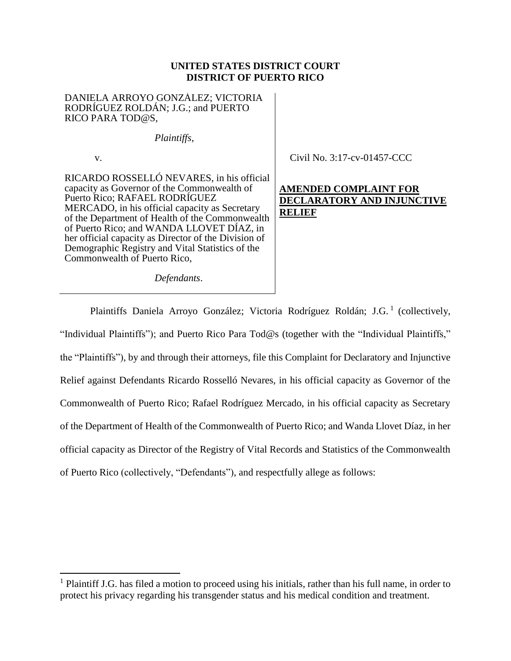## **UNITED STATES DISTRICT COURT DISTRICT OF PUERTO RICO**

DANIELA ARROYO GONZÁLEZ; VICTORIA RODRÍGUEZ ROLDÁN; J.G.; and PUERTO RICO PARA TOD@S,

*Plaintiffs*,

v.

 $\overline{\phantom{a}}$ 

RICARDO ROSSELLÓ NEVARES, in his official capacity as Governor of the Commonwealth of Puerto Rico; RAFAEL RODRÍGUEZ MERCADO, in his official capacity as Secretary of the Department of Health of the Commonwealth of Puerto Rico; and WANDA LLOVET DÍAZ, in her official capacity as Director of the Division of Demographic Registry and Vital Statistics of the Commonwealth of Puerto Rico,

Civil No. 3:17-cv-01457-CCC

# **AMENDED COMPLAINT FOR DECLARATORY AND INJUNCTIVE RELIEF**

*Defendants*.

Plaintiffs Daniela Arroyo González; Victoria Rodríguez Roldán; J.G.<sup>1</sup> (collectively, "Individual Plaintiffs"); and Puerto Rico Para Tod@s (together with the "Individual Plaintiffs," the "Plaintiffs"), by and through their attorneys, file this Complaint for Declaratory and Injunctive Relief against Defendants Ricardo Rosselló Nevares, in his official capacity as Governor of the Commonwealth of Puerto Rico; Rafael Rodríguez Mercado, in his official capacity as Secretary of the Department of Health of the Commonwealth of Puerto Rico; and Wanda Llovet Díaz, in her official capacity as Director of the Registry of Vital Records and Statistics of the Commonwealth of Puerto Rico (collectively, "Defendants"), and respectfully allege as follows:

<sup>&</sup>lt;sup>1</sup> Plaintiff J.G. has filed a motion to proceed using his initials, rather than his full name, in order to protect his privacy regarding his transgender status and his medical condition and treatment.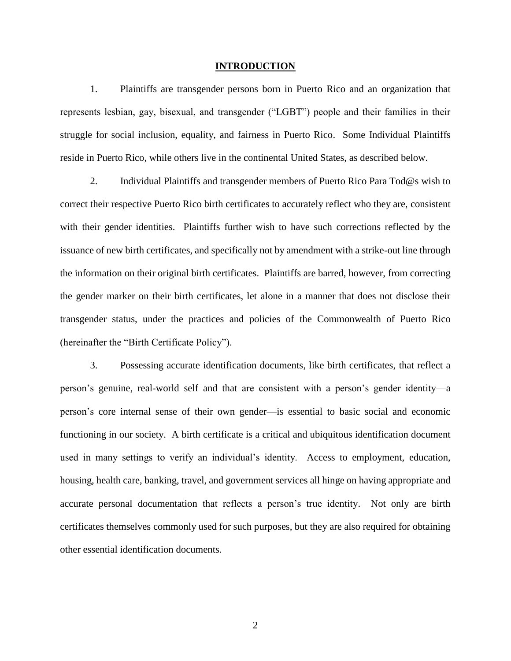#### **INTRODUCTION**

1. Plaintiffs are transgender persons born in Puerto Rico and an organization that represents lesbian, gay, bisexual, and transgender ("LGBT") people and their families in their struggle for social inclusion, equality, and fairness in Puerto Rico. Some Individual Plaintiffs reside in Puerto Rico, while others live in the continental United States, as described below.

2. Individual Plaintiffs and transgender members of Puerto Rico Para Tod@s wish to correct their respective Puerto Rico birth certificates to accurately reflect who they are, consistent with their gender identities. Plaintiffs further wish to have such corrections reflected by the issuance of new birth certificates, and specifically not by amendment with a strike-out line through the information on their original birth certificates. Plaintiffs are barred, however, from correcting the gender marker on their birth certificates, let alone in a manner that does not disclose their transgender status, under the practices and policies of the Commonwealth of Puerto Rico (hereinafter the "Birth Certificate Policy").

3. Possessing accurate identification documents, like birth certificates, that reflect a person's genuine, real-world self and that are consistent with a person's gender identity—a person's core internal sense of their own gender—is essential to basic social and economic functioning in our society. A birth certificate is a critical and ubiquitous identification document used in many settings to verify an individual's identity. Access to employment, education, housing, health care, banking, travel, and government services all hinge on having appropriate and accurate personal documentation that reflects a person's true identity. Not only are birth certificates themselves commonly used for such purposes, but they are also required for obtaining other essential identification documents.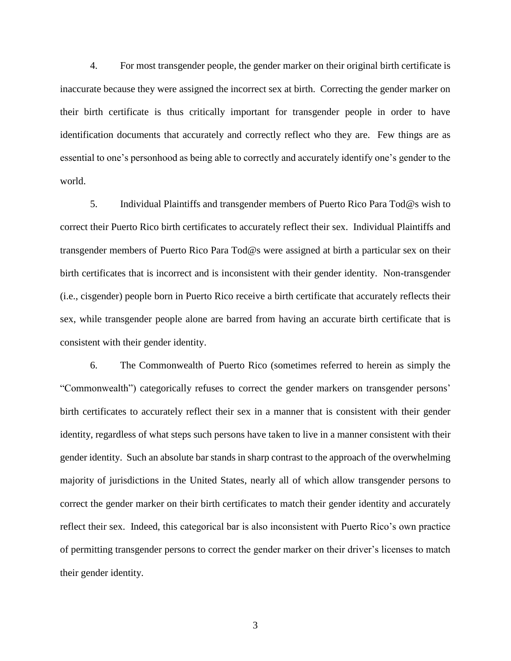4. For most transgender people, the gender marker on their original birth certificate is inaccurate because they were assigned the incorrect sex at birth. Correcting the gender marker on their birth certificate is thus critically important for transgender people in order to have identification documents that accurately and correctly reflect who they are. Few things are as essential to one's personhood as being able to correctly and accurately identify one's gender to the world.

5. Individual Plaintiffs and transgender members of Puerto Rico Para Tod@s wish to correct their Puerto Rico birth certificates to accurately reflect their sex. Individual Plaintiffs and transgender members of Puerto Rico Para Tod@s were assigned at birth a particular sex on their birth certificates that is incorrect and is inconsistent with their gender identity. Non-transgender (i.e., cisgender) people born in Puerto Rico receive a birth certificate that accurately reflects their sex, while transgender people alone are barred from having an accurate birth certificate that is consistent with their gender identity.

6. The Commonwealth of Puerto Rico (sometimes referred to herein as simply the "Commonwealth") categorically refuses to correct the gender markers on transgender persons' birth certificates to accurately reflect their sex in a manner that is consistent with their gender identity, regardless of what steps such persons have taken to live in a manner consistent with their gender identity. Such an absolute bar stands in sharp contrast to the approach of the overwhelming majority of jurisdictions in the United States, nearly all of which allow transgender persons to correct the gender marker on their birth certificates to match their gender identity and accurately reflect their sex. Indeed, this categorical bar is also inconsistent with Puerto Rico's own practice of permitting transgender persons to correct the gender marker on their driver's licenses to match their gender identity.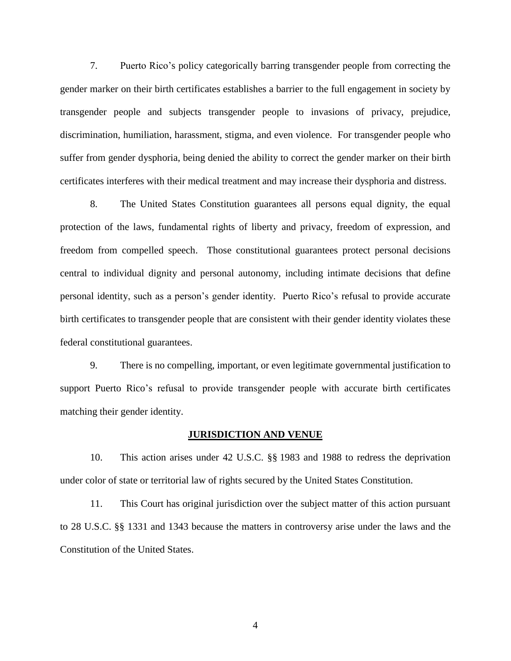7. Puerto Rico's policy categorically barring transgender people from correcting the gender marker on their birth certificates establishes a barrier to the full engagement in society by transgender people and subjects transgender people to invasions of privacy, prejudice, discrimination, humiliation, harassment, stigma, and even violence. For transgender people who suffer from gender dysphoria, being denied the ability to correct the gender marker on their birth certificates interferes with their medical treatment and may increase their dysphoria and distress.

8. The United States Constitution guarantees all persons equal dignity, the equal protection of the laws, fundamental rights of liberty and privacy, freedom of expression, and freedom from compelled speech. Those constitutional guarantees protect personal decisions central to individual dignity and personal autonomy, including intimate decisions that define personal identity, such as a person's gender identity. Puerto Rico's refusal to provide accurate birth certificates to transgender people that are consistent with their gender identity violates these federal constitutional guarantees.

9. There is no compelling, important, or even legitimate governmental justification to support Puerto Rico's refusal to provide transgender people with accurate birth certificates matching their gender identity.

#### **JURISDICTION AND VENUE**

10. This action arises under 42 U.S.C. §§ 1983 and 1988 to redress the deprivation under color of state or territorial law of rights secured by the United States Constitution.

11. This Court has original jurisdiction over the subject matter of this action pursuant to 28 U.S.C. §§ 1331 and 1343 because the matters in controversy arise under the laws and the Constitution of the United States.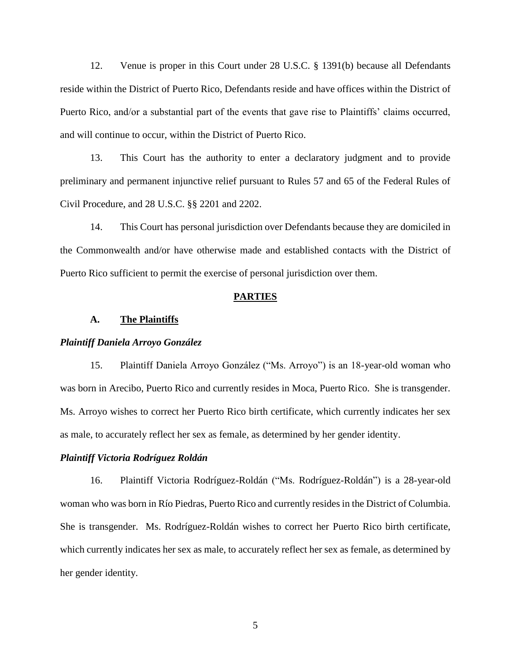12. Venue is proper in this Court under 28 U.S.C. § 1391(b) because all Defendants reside within the District of Puerto Rico, Defendants reside and have offices within the District of Puerto Rico, and/or a substantial part of the events that gave rise to Plaintiffs' claims occurred, and will continue to occur, within the District of Puerto Rico.

13. This Court has the authority to enter a declaratory judgment and to provide preliminary and permanent injunctive relief pursuant to Rules 57 and 65 of the Federal Rules of Civil Procedure, and 28 U.S.C. §§ 2201 and 2202.

14. This Court has personal jurisdiction over Defendants because they are domiciled in the Commonwealth and/or have otherwise made and established contacts with the District of Puerto Rico sufficient to permit the exercise of personal jurisdiction over them.

#### **PARTIES**

#### **A. The Plaintiffs**

#### *Plaintiff Daniela Arroyo González*

15. Plaintiff Daniela Arroyo González ("Ms. Arroyo") is an 18-year-old woman who was born in Arecibo, Puerto Rico and currently resides in Moca, Puerto Rico. She is transgender. Ms. Arroyo wishes to correct her Puerto Rico birth certificate, which currently indicates her sex as male, to accurately reflect her sex as female, as determined by her gender identity.

#### *Plaintiff Victoria Rodríguez Roldán*

16. Plaintiff Victoria Rodríguez-Roldán ("Ms. Rodríguez-Roldán") is a 28-year-old woman who was born in Río Piedras, Puerto Rico and currently resides in the District of Columbia. She is transgender. Ms. Rodríguez-Roldán wishes to correct her Puerto Rico birth certificate, which currently indicates her sex as male, to accurately reflect her sex as female, as determined by her gender identity.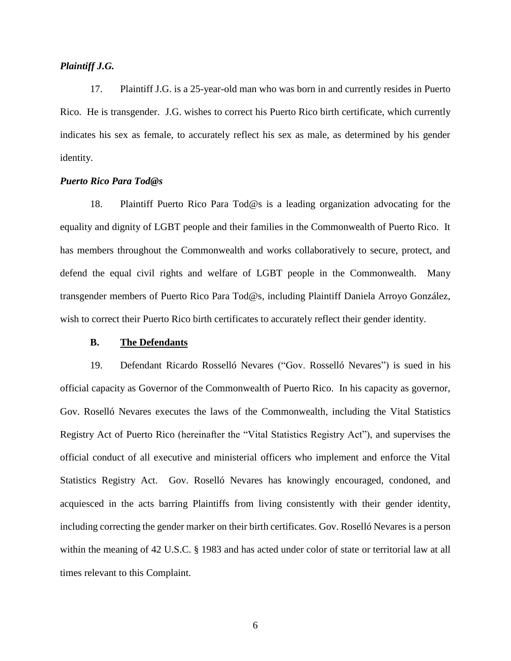## *Plaintiff J.G.*

17. Plaintiff J.G. is a 25-year-old man who was born in and currently resides in Puerto Rico. He is transgender. J.G. wishes to correct his Puerto Rico birth certificate, which currently indicates his sex as female, to accurately reflect his sex as male, as determined by his gender identity.

## *Puerto Rico Para Tod@s*

18. Plaintiff Puerto Rico Para Tod@s is a leading organization advocating for the equality and dignity of LGBT people and their families in the Commonwealth of Puerto Rico. It has members throughout the Commonwealth and works collaboratively to secure, protect, and defend the equal civil rights and welfare of LGBT people in the Commonwealth. Many transgender members of Puerto Rico Para Tod@s, including Plaintiff Daniela Arroyo González, wish to correct their Puerto Rico birth certificates to accurately reflect their gender identity.

#### **B. The Defendants**

19. Defendant Ricardo Rosselló Nevares ("Gov. Rosselló Nevares") is sued in his official capacity as Governor of the Commonwealth of Puerto Rico. In his capacity as governor, Gov. Roselló Nevares executes the laws of the Commonwealth, including the Vital Statistics Registry Act of Puerto Rico (hereinafter the "Vital Statistics Registry Act"), and supervises the official conduct of all executive and ministerial officers who implement and enforce the Vital Statistics Registry Act. Gov. Roselló Nevares has knowingly encouraged, condoned, and acquiesced in the acts barring Plaintiffs from living consistently with their gender identity, including correcting the gender marker on their birth certificates. Gov. Roselló Nevares is a person within the meaning of 42 U.S.C. § 1983 and has acted under color of state or territorial law at all times relevant to this Complaint.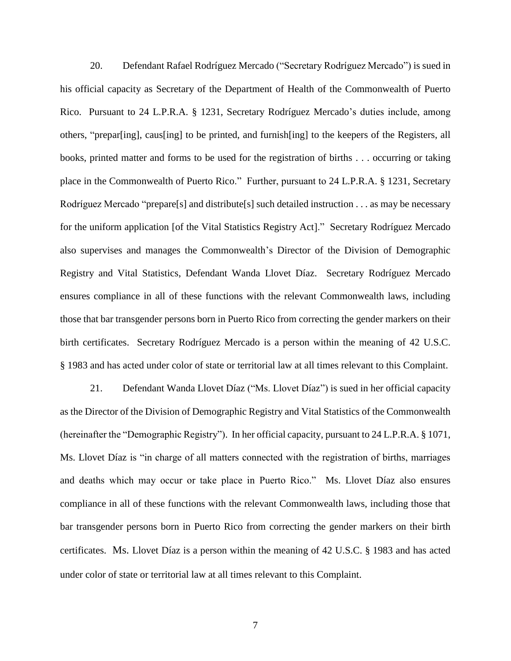20. Defendant Rafael Rodríguez Mercado ("Secretary Rodríguez Mercado") is sued in his official capacity as Secretary of the Department of Health of the Commonwealth of Puerto Rico. Pursuant to 24 L.P.R.A. § 1231, Secretary Rodríguez Mercado's duties include, among others, "prepar[ing], caus[ing] to be printed, and furnish[ing] to the keepers of the Registers, all books, printed matter and forms to be used for the registration of births . . . occurring or taking place in the Commonwealth of Puerto Rico." Further, pursuant to 24 L.P.R.A. § 1231, Secretary Rodríguez Mercado "prepare[s] and distribute[s] such detailed instruction . . . as may be necessary for the uniform application [of the Vital Statistics Registry Act]." Secretary Rodríguez Mercado also supervises and manages the Commonwealth's Director of the Division of Demographic Registry and Vital Statistics, Defendant Wanda Llovet Díaz. Secretary Rodríguez Mercado ensures compliance in all of these functions with the relevant Commonwealth laws, including those that bar transgender persons born in Puerto Rico from correcting the gender markers on their birth certificates. Secretary Rodríguez Mercado is a person within the meaning of 42 U.S.C. § 1983 and has acted under color of state or territorial law at all times relevant to this Complaint.

21. Defendant Wanda Llovet Díaz ("Ms. Llovet Díaz") is sued in her official capacity as the Director of the Division of Demographic Registry and Vital Statistics of the Commonwealth (hereinafter the "Demographic Registry"). In her official capacity, pursuant to 24 L.P.R.A. § 1071, Ms. Llovet Díaz is "in charge of all matters connected with the registration of births, marriages and deaths which may occur or take place in Puerto Rico." Ms. Llovet Díaz also ensures compliance in all of these functions with the relevant Commonwealth laws, including those that bar transgender persons born in Puerto Rico from correcting the gender markers on their birth certificates. Ms. Llovet Díaz is a person within the meaning of 42 U.S.C. § 1983 and has acted under color of state or territorial law at all times relevant to this Complaint.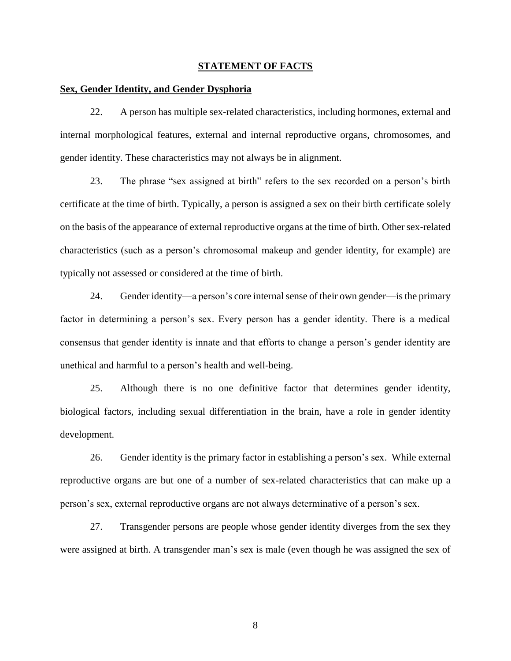#### **STATEMENT OF FACTS**

### **Sex, Gender Identity, and Gender Dysphoria**

22. A person has multiple sex-related characteristics, including hormones, external and internal morphological features, external and internal reproductive organs, chromosomes, and gender identity. These characteristics may not always be in alignment.

23. The phrase "sex assigned at birth" refers to the sex recorded on a person's birth certificate at the time of birth. Typically, a person is assigned a sex on their birth certificate solely on the basis of the appearance of external reproductive organs at the time of birth. Other sex-related characteristics (such as a person's chromosomal makeup and gender identity, for example) are typically not assessed or considered at the time of birth.

24. Gender identity—a person's core internal sense of their own gender—is the primary factor in determining a person's sex. Every person has a gender identity. There is a medical consensus that gender identity is innate and that efforts to change a person's gender identity are unethical and harmful to a person's health and well-being.

25. Although there is no one definitive factor that determines gender identity, biological factors, including sexual differentiation in the brain, have a role in gender identity development.

26. Gender identity is the primary factor in establishing a person's sex. While external reproductive organs are but one of a number of sex-related characteristics that can make up a person's sex, external reproductive organs are not always determinative of a person's sex.

27. Transgender persons are people whose gender identity diverges from the sex they were assigned at birth. A transgender man's sex is male (even though he was assigned the sex of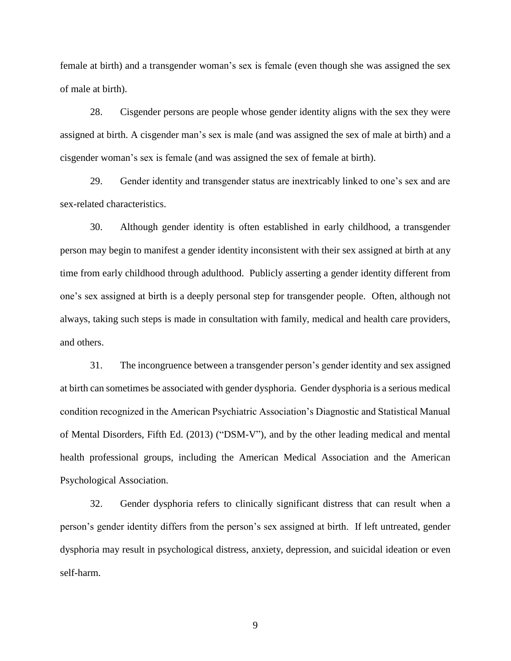female at birth) and a transgender woman's sex is female (even though she was assigned the sex of male at birth).

28. Cisgender persons are people whose gender identity aligns with the sex they were assigned at birth. A cisgender man's sex is male (and was assigned the sex of male at birth) and a cisgender woman's sex is female (and was assigned the sex of female at birth).

29. Gender identity and transgender status are inextricably linked to one's sex and are sex-related characteristics.

30. Although gender identity is often established in early childhood, a transgender person may begin to manifest a gender identity inconsistent with their sex assigned at birth at any time from early childhood through adulthood. Publicly asserting a gender identity different from one's sex assigned at birth is a deeply personal step for transgender people. Often, although not always, taking such steps is made in consultation with family, medical and health care providers, and others.

31. The incongruence between a transgender person's gender identity and sex assigned at birth can sometimes be associated with gender dysphoria. Gender dysphoria is a serious medical condition recognized in the American Psychiatric Association's Diagnostic and Statistical Manual of Mental Disorders, Fifth Ed. (2013) ("DSM-V"), and by the other leading medical and mental health professional groups, including the American Medical Association and the American Psychological Association.

32. Gender dysphoria refers to clinically significant distress that can result when a person's gender identity differs from the person's sex assigned at birth. If left untreated, gender dysphoria may result in psychological distress, anxiety, depression, and suicidal ideation or even self-harm.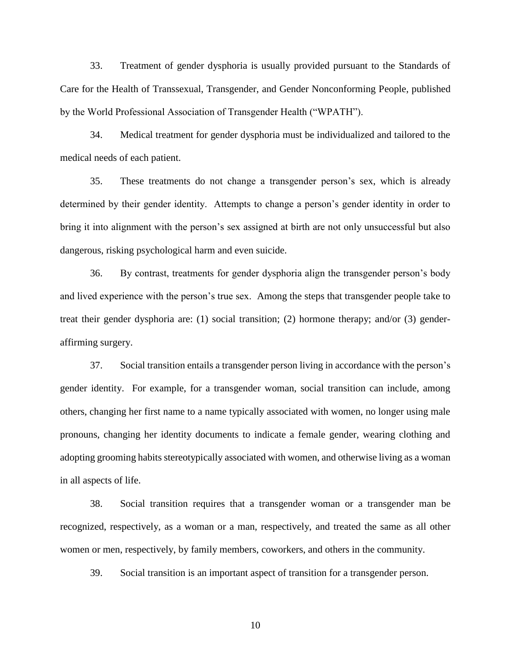33. Treatment of gender dysphoria is usually provided pursuant to the Standards of Care for the Health of Transsexual, Transgender, and Gender Nonconforming People, published by the World Professional Association of Transgender Health ("WPATH").

34. Medical treatment for gender dysphoria must be individualized and tailored to the medical needs of each patient.

35. These treatments do not change a transgender person's sex, which is already determined by their gender identity. Attempts to change a person's gender identity in order to bring it into alignment with the person's sex assigned at birth are not only unsuccessful but also dangerous, risking psychological harm and even suicide.

36. By contrast, treatments for gender dysphoria align the transgender person's body and lived experience with the person's true sex. Among the steps that transgender people take to treat their gender dysphoria are: (1) social transition; (2) hormone therapy; and/or (3) genderaffirming surgery.

37. Social transition entails a transgender person living in accordance with the person's gender identity. For example, for a transgender woman, social transition can include, among others, changing her first name to a name typically associated with women, no longer using male pronouns, changing her identity documents to indicate a female gender, wearing clothing and adopting grooming habits stereotypically associated with women, and otherwise living as a woman in all aspects of life.

38. Social transition requires that a transgender woman or a transgender man be recognized, respectively, as a woman or a man, respectively, and treated the same as all other women or men, respectively, by family members, coworkers, and others in the community.

39. Social transition is an important aspect of transition for a transgender person.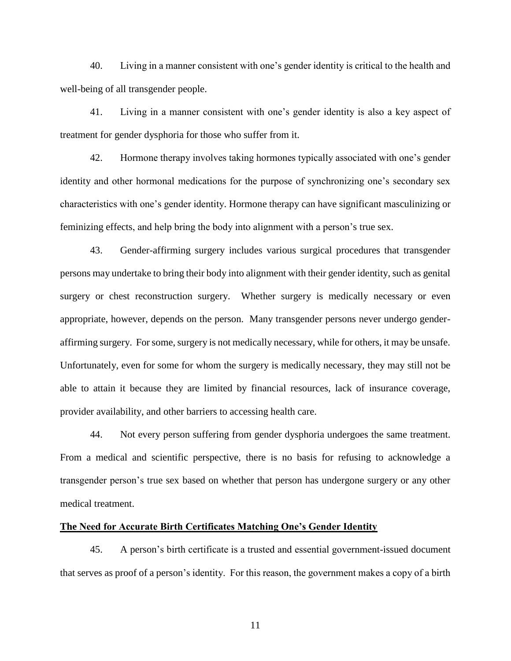40. Living in a manner consistent with one's gender identity is critical to the health and well-being of all transgender people.

41. Living in a manner consistent with one's gender identity is also a key aspect of treatment for gender dysphoria for those who suffer from it.

42. Hormone therapy involves taking hormones typically associated with one's gender identity and other hormonal medications for the purpose of synchronizing one's secondary sex characteristics with one's gender identity. Hormone therapy can have significant masculinizing or feminizing effects, and help bring the body into alignment with a person's true sex.

43. Gender-affirming surgery includes various surgical procedures that transgender persons may undertake to bring their body into alignment with their gender identity, such as genital surgery or chest reconstruction surgery. Whether surgery is medically necessary or even appropriate, however, depends on the person. Many transgender persons never undergo genderaffirming surgery. For some, surgery is not medically necessary, while for others, it may be unsafe. Unfortunately, even for some for whom the surgery is medically necessary, they may still not be able to attain it because they are limited by financial resources, lack of insurance coverage, provider availability, and other barriers to accessing health care.

44. Not every person suffering from gender dysphoria undergoes the same treatment. From a medical and scientific perspective, there is no basis for refusing to acknowledge a transgender person's true sex based on whether that person has undergone surgery or any other medical treatment.

## **The Need for Accurate Birth Certificates Matching One's Gender Identity**

45. A person's birth certificate is a trusted and essential government-issued document that serves as proof of a person's identity. For this reason, the government makes a copy of a birth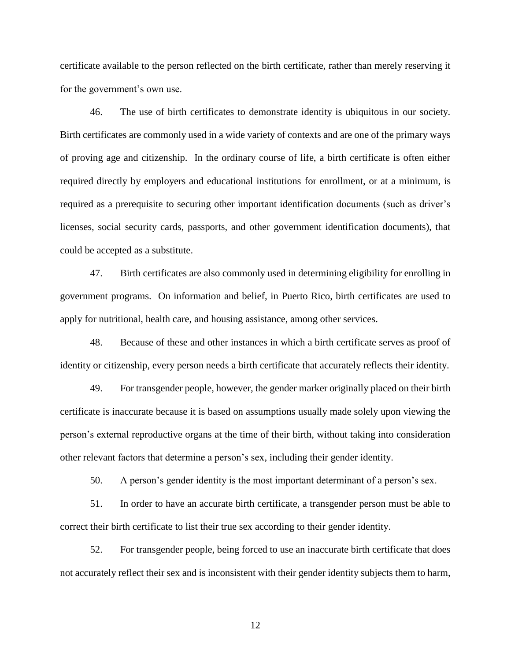certificate available to the person reflected on the birth certificate, rather than merely reserving it for the government's own use.

46. The use of birth certificates to demonstrate identity is ubiquitous in our society. Birth certificates are commonly used in a wide variety of contexts and are one of the primary ways of proving age and citizenship. In the ordinary course of life, a birth certificate is often either required directly by employers and educational institutions for enrollment, or at a minimum, is required as a prerequisite to securing other important identification documents (such as driver's licenses, social security cards, passports, and other government identification documents), that could be accepted as a substitute.

47. Birth certificates are also commonly used in determining eligibility for enrolling in government programs. On information and belief, in Puerto Rico, birth certificates are used to apply for nutritional, health care, and housing assistance, among other services.

48. Because of these and other instances in which a birth certificate serves as proof of identity or citizenship, every person needs a birth certificate that accurately reflects their identity.

49. For transgender people, however, the gender marker originally placed on their birth certificate is inaccurate because it is based on assumptions usually made solely upon viewing the person's external reproductive organs at the time of their birth, without taking into consideration other relevant factors that determine a person's sex, including their gender identity.

50. A person's gender identity is the most important determinant of a person's sex.

51. In order to have an accurate birth certificate, a transgender person must be able to correct their birth certificate to list their true sex according to their gender identity.

52. For transgender people, being forced to use an inaccurate birth certificate that does not accurately reflect their sex and is inconsistent with their gender identity subjects them to harm,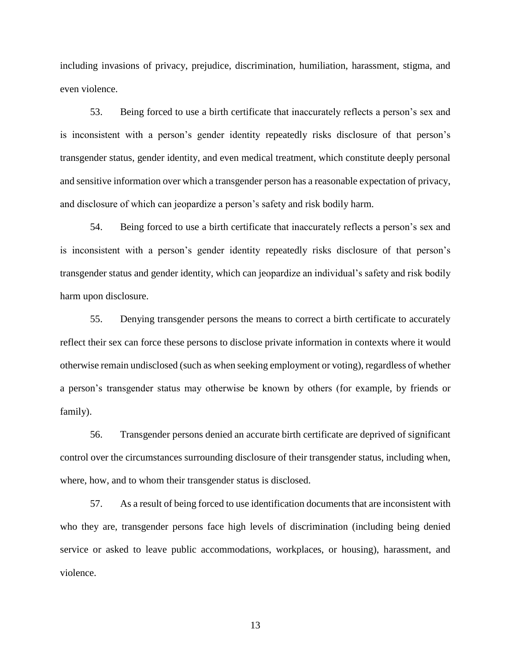including invasions of privacy, prejudice, discrimination, humiliation, harassment, stigma, and even violence.

53. Being forced to use a birth certificate that inaccurately reflects a person's sex and is inconsistent with a person's gender identity repeatedly risks disclosure of that person's transgender status, gender identity, and even medical treatment, which constitute deeply personal and sensitive information over which a transgender person has a reasonable expectation of privacy, and disclosure of which can jeopardize a person's safety and risk bodily harm.

54. Being forced to use a birth certificate that inaccurately reflects a person's sex and is inconsistent with a person's gender identity repeatedly risks disclosure of that person's transgender status and gender identity, which can jeopardize an individual's safety and risk bodily harm upon disclosure.

55. Denying transgender persons the means to correct a birth certificate to accurately reflect their sex can force these persons to disclose private information in contexts where it would otherwise remain undisclosed (such as when seeking employment or voting), regardless of whether a person's transgender status may otherwise be known by others (for example, by friends or family).

56. Transgender persons denied an accurate birth certificate are deprived of significant control over the circumstances surrounding disclosure of their transgender status, including when, where, how, and to whom their transgender status is disclosed.

57. As a result of being forced to use identification documents that are inconsistent with who they are, transgender persons face high levels of discrimination (including being denied service or asked to leave public accommodations, workplaces, or housing), harassment, and violence.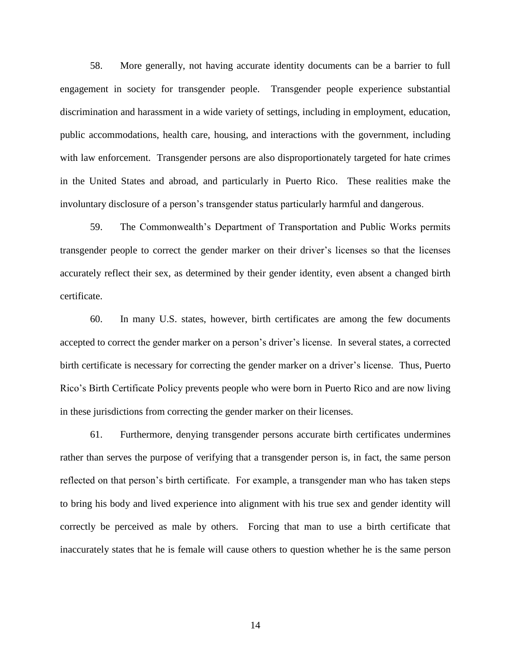58. More generally, not having accurate identity documents can be a barrier to full engagement in society for transgender people. Transgender people experience substantial discrimination and harassment in a wide variety of settings, including in employment, education, public accommodations, health care, housing, and interactions with the government, including with law enforcement. Transgender persons are also disproportionately targeted for hate crimes in the United States and abroad, and particularly in Puerto Rico. These realities make the involuntary disclosure of a person's transgender status particularly harmful and dangerous.

59. The Commonwealth's Department of Transportation and Public Works permits transgender people to correct the gender marker on their driver's licenses so that the licenses accurately reflect their sex, as determined by their gender identity, even absent a changed birth certificate.

60. In many U.S. states, however, birth certificates are among the few documents accepted to correct the gender marker on a person's driver's license. In several states, a corrected birth certificate is necessary for correcting the gender marker on a driver's license. Thus, Puerto Rico's Birth Certificate Policy prevents people who were born in Puerto Rico and are now living in these jurisdictions from correcting the gender marker on their licenses.

61. Furthermore, denying transgender persons accurate birth certificates undermines rather than serves the purpose of verifying that a transgender person is, in fact, the same person reflected on that person's birth certificate. For example, a transgender man who has taken steps to bring his body and lived experience into alignment with his true sex and gender identity will correctly be perceived as male by others. Forcing that man to use a birth certificate that inaccurately states that he is female will cause others to question whether he is the same person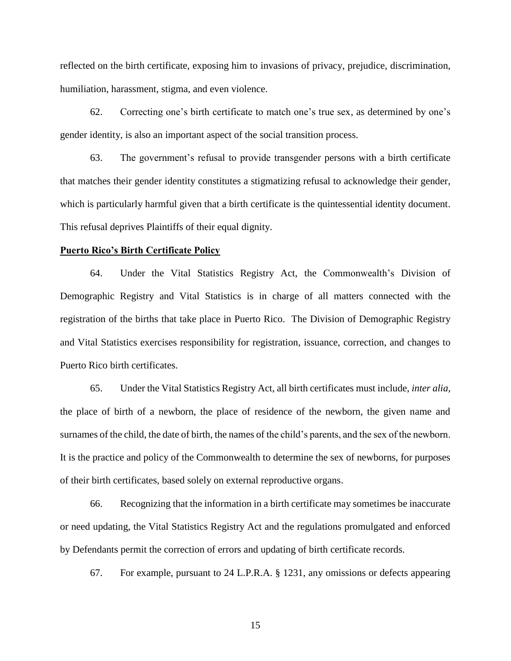reflected on the birth certificate, exposing him to invasions of privacy, prejudice, discrimination, humiliation, harassment, stigma, and even violence.

62. Correcting one's birth certificate to match one's true sex, as determined by one's gender identity, is also an important aspect of the social transition process.

63. The government's refusal to provide transgender persons with a birth certificate that matches their gender identity constitutes a stigmatizing refusal to acknowledge their gender, which is particularly harmful given that a birth certificate is the quintessential identity document. This refusal deprives Plaintiffs of their equal dignity.

#### **Puerto Rico's Birth Certificate Policy**

64. Under the Vital Statistics Registry Act, the Commonwealth's Division of Demographic Registry and Vital Statistics is in charge of all matters connected with the registration of the births that take place in Puerto Rico. The Division of Demographic Registry and Vital Statistics exercises responsibility for registration, issuance, correction, and changes to Puerto Rico birth certificates.

65. Under the Vital Statistics Registry Act, all birth certificates must include, *inter alia*, the place of birth of a newborn, the place of residence of the newborn, the given name and surnames of the child, the date of birth, the names of the child's parents, and the sex of the newborn. It is the practice and policy of the Commonwealth to determine the sex of newborns, for purposes of their birth certificates, based solely on external reproductive organs.

66. Recognizing that the information in a birth certificate may sometimes be inaccurate or need updating, the Vital Statistics Registry Act and the regulations promulgated and enforced by Defendants permit the correction of errors and updating of birth certificate records.

67. For example, pursuant to 24 L.P.R.A. § 1231, any omissions or defects appearing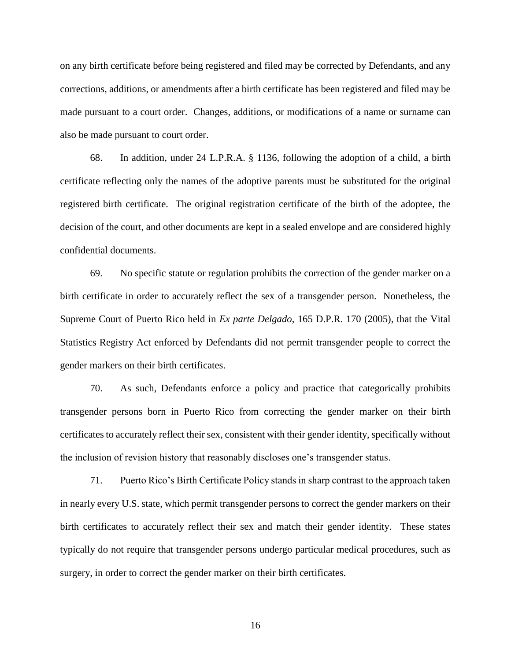on any birth certificate before being registered and filed may be corrected by Defendants, and any corrections, additions, or amendments after a birth certificate has been registered and filed may be made pursuant to a court order. Changes, additions, or modifications of a name or surname can also be made pursuant to court order.

68. In addition, under 24 L.P.R.A. § 1136, following the adoption of a child, a birth certificate reflecting only the names of the adoptive parents must be substituted for the original registered birth certificate. The original registration certificate of the birth of the adoptee, the decision of the court, and other documents are kept in a sealed envelope and are considered highly confidential documents.

69. No specific statute or regulation prohibits the correction of the gender marker on a birth certificate in order to accurately reflect the sex of a transgender person. Nonetheless, the Supreme Court of Puerto Rico held in *Ex parte Delgado*, 165 D.P.R. 170 (2005), that the Vital Statistics Registry Act enforced by Defendants did not permit transgender people to correct the gender markers on their birth certificates.

70. As such, Defendants enforce a policy and practice that categorically prohibits transgender persons born in Puerto Rico from correcting the gender marker on their birth certificates to accurately reflect their sex, consistent with their gender identity, specifically without the inclusion of revision history that reasonably discloses one's transgender status.

71. Puerto Rico's Birth Certificate Policy stands in sharp contrast to the approach taken in nearly every U.S. state, which permit transgender persons to correct the gender markers on their birth certificates to accurately reflect their sex and match their gender identity. These states typically do not require that transgender persons undergo particular medical procedures, such as surgery, in order to correct the gender marker on their birth certificates.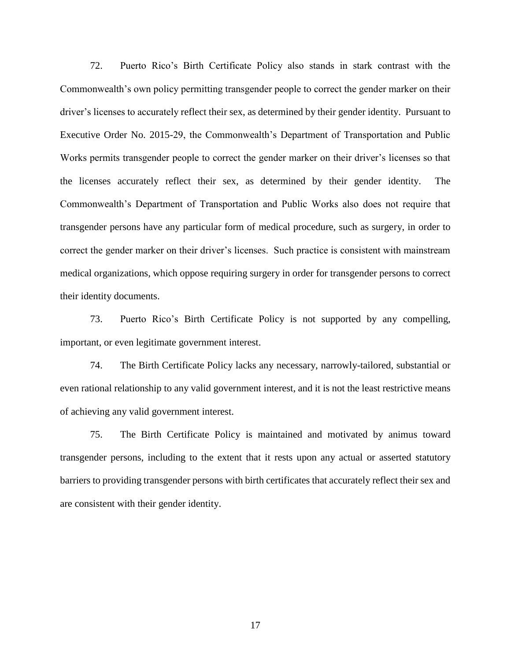72. Puerto Rico's Birth Certificate Policy also stands in stark contrast with the Commonwealth's own policy permitting transgender people to correct the gender marker on their driver's licenses to accurately reflect their sex, as determined by their gender identity. Pursuant to Executive Order No. 2015-29, the Commonwealth's Department of Transportation and Public Works permits transgender people to correct the gender marker on their driver's licenses so that the licenses accurately reflect their sex, as determined by their gender identity. The Commonwealth's Department of Transportation and Public Works also does not require that transgender persons have any particular form of medical procedure, such as surgery, in order to correct the gender marker on their driver's licenses. Such practice is consistent with mainstream medical organizations, which oppose requiring surgery in order for transgender persons to correct their identity documents.

73. Puerto Rico's Birth Certificate Policy is not supported by any compelling, important, or even legitimate government interest.

74. The Birth Certificate Policy lacks any necessary, narrowly-tailored, substantial or even rational relationship to any valid government interest, and it is not the least restrictive means of achieving any valid government interest.

75. The Birth Certificate Policy is maintained and motivated by animus toward transgender persons, including to the extent that it rests upon any actual or asserted statutory barriers to providing transgender persons with birth certificates that accurately reflect their sex and are consistent with their gender identity.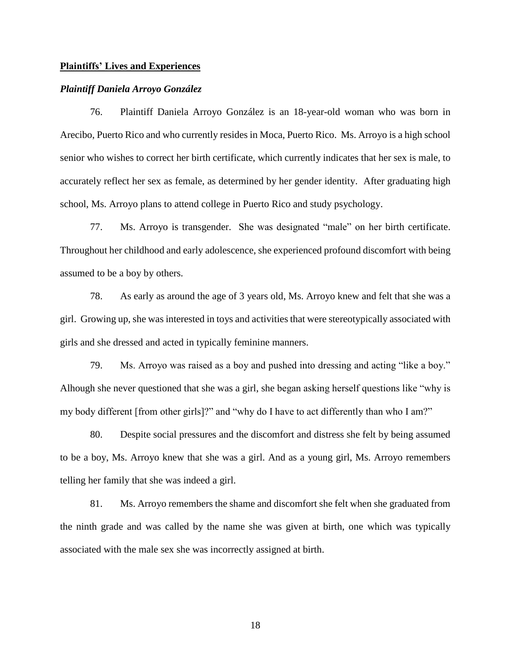#### **Plaintiffs' Lives and Experiences**

### *Plaintiff Daniela Arroyo González*

76. Plaintiff Daniela Arroyo González is an 18-year-old woman who was born in Arecibo, Puerto Rico and who currently resides in Moca, Puerto Rico. Ms. Arroyo is a high school senior who wishes to correct her birth certificate, which currently indicates that her sex is male, to accurately reflect her sex as female, as determined by her gender identity. After graduating high school, Ms. Arroyo plans to attend college in Puerto Rico and study psychology.

77. Ms. Arroyo is transgender. She was designated "male" on her birth certificate. Throughout her childhood and early adolescence, she experienced profound discomfort with being assumed to be a boy by others.

78. As early as around the age of 3 years old, Ms. Arroyo knew and felt that she was a girl. Growing up, she was interested in toys and activities that were stereotypically associated with girls and she dressed and acted in typically feminine manners.

79. Ms. Arroyo was raised as a boy and pushed into dressing and acting "like a boy." Alhough she never questioned that she was a girl, she began asking herself questions like "why is my body different [from other girls]?" and "why do I have to act differently than who I am?"

80. Despite social pressures and the discomfort and distress she felt by being assumed to be a boy, Ms. Arroyo knew that she was a girl. And as a young girl, Ms. Arroyo remembers telling her family that she was indeed a girl.

81. Ms. Arroyo remembers the shame and discomfort she felt when she graduated from the ninth grade and was called by the name she was given at birth, one which was typically associated with the male sex she was incorrectly assigned at birth.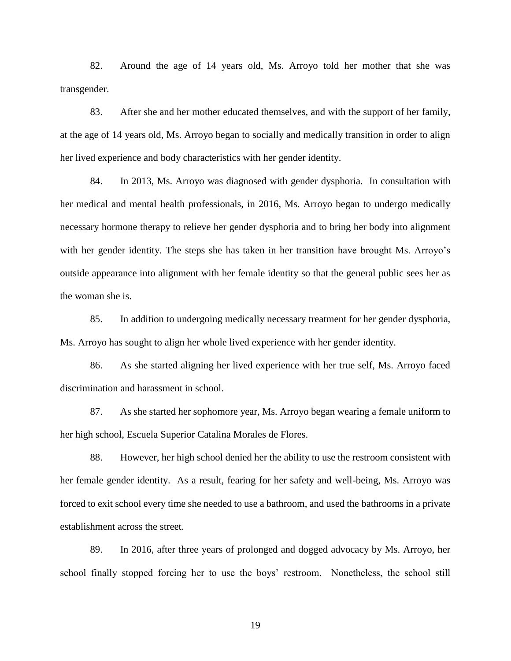82. Around the age of 14 years old, Ms. Arroyo told her mother that she was transgender.

83. After she and her mother educated themselves, and with the support of her family, at the age of 14 years old, Ms. Arroyo began to socially and medically transition in order to align her lived experience and body characteristics with her gender identity.

84. In 2013, Ms. Arroyo was diagnosed with gender dysphoria. In consultation with her medical and mental health professionals, in 2016, Ms. Arroyo began to undergo medically necessary hormone therapy to relieve her gender dysphoria and to bring her body into alignment with her gender identity. The steps she has taken in her transition have brought Ms. Arroyo's outside appearance into alignment with her female identity so that the general public sees her as the woman she is.

85. In addition to undergoing medically necessary treatment for her gender dysphoria, Ms. Arroyo has sought to align her whole lived experience with her gender identity.

86. As she started aligning her lived experience with her true self, Ms. Arroyo faced discrimination and harassment in school.

87. As she started her sophomore year, Ms. Arroyo began wearing a female uniform to her high school, Escuela Superior Catalina Morales de Flores.

88. However, her high school denied her the ability to use the restroom consistent with her female gender identity. As a result, fearing for her safety and well-being, Ms. Arroyo was forced to exit school every time she needed to use a bathroom, and used the bathrooms in a private establishment across the street.

89. In 2016, after three years of prolonged and dogged advocacy by Ms. Arroyo, her school finally stopped forcing her to use the boys' restroom. Nonetheless, the school still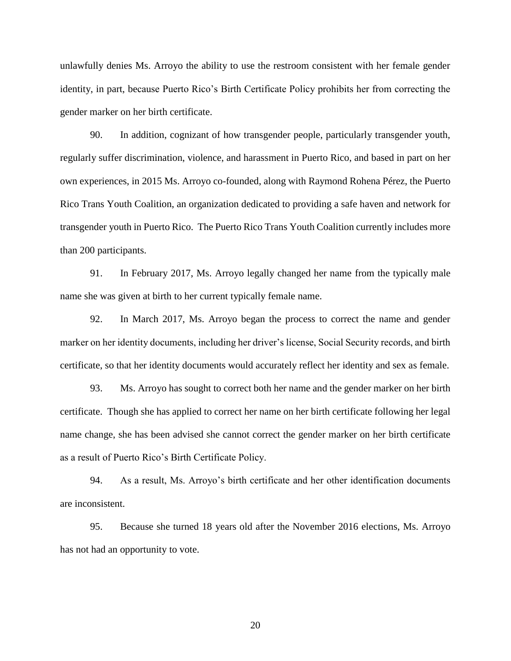unlawfully denies Ms. Arroyo the ability to use the restroom consistent with her female gender identity, in part, because Puerto Rico's Birth Certificate Policy prohibits her from correcting the gender marker on her birth certificate.

90. In addition, cognizant of how transgender people, particularly transgender youth, regularly suffer discrimination, violence, and harassment in Puerto Rico, and based in part on her own experiences, in 2015 Ms. Arroyo co-founded, along with Raymond Rohena Pérez, the Puerto Rico Trans Youth Coalition, an organization dedicated to providing a safe haven and network for transgender youth in Puerto Rico. The Puerto Rico Trans Youth Coalition currently includes more than 200 participants.

91. In February 2017, Ms. Arroyo legally changed her name from the typically male name she was given at birth to her current typically female name.

92. In March 2017, Ms. Arroyo began the process to correct the name and gender marker on her identity documents, including her driver's license, Social Security records, and birth certificate, so that her identity documents would accurately reflect her identity and sex as female.

93. Ms. Arroyo has sought to correct both her name and the gender marker on her birth certificate. Though she has applied to correct her name on her birth certificate following her legal name change, she has been advised she cannot correct the gender marker on her birth certificate as a result of Puerto Rico's Birth Certificate Policy.

94. As a result, Ms. Arroyo's birth certificate and her other identification documents are inconsistent.

95. Because she turned 18 years old after the November 2016 elections, Ms. Arroyo has not had an opportunity to vote.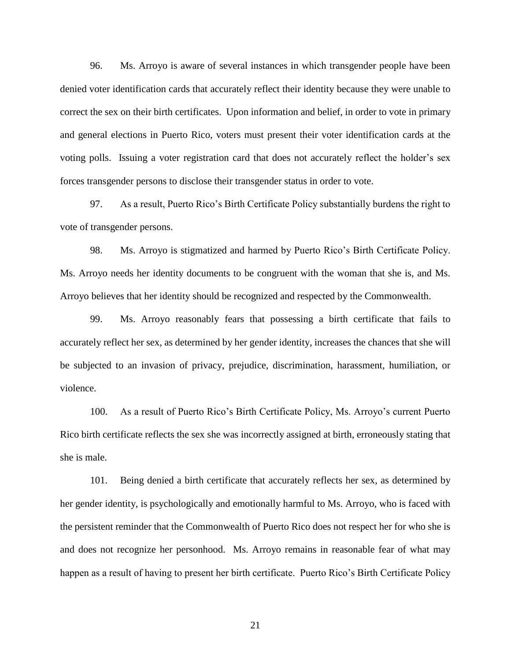96. Ms. Arroyo is aware of several instances in which transgender people have been denied voter identification cards that accurately reflect their identity because they were unable to correct the sex on their birth certificates. Upon information and belief, in order to vote in primary and general elections in Puerto Rico, voters must present their voter identification cards at the voting polls. Issuing a voter registration card that does not accurately reflect the holder's sex forces transgender persons to disclose their transgender status in order to vote.

97. As a result, Puerto Rico's Birth Certificate Policy substantially burdens the right to vote of transgender persons.

98. Ms. Arroyo is stigmatized and harmed by Puerto Rico's Birth Certificate Policy. Ms. Arroyo needs her identity documents to be congruent with the woman that she is, and Ms. Arroyo believes that her identity should be recognized and respected by the Commonwealth.

99. Ms. Arroyo reasonably fears that possessing a birth certificate that fails to accurately reflect her sex, as determined by her gender identity, increases the chances that she will be subjected to an invasion of privacy, prejudice, discrimination, harassment, humiliation, or violence.

100. As a result of Puerto Rico's Birth Certificate Policy, Ms. Arroyo's current Puerto Rico birth certificate reflects the sex she was incorrectly assigned at birth, erroneously stating that she is male.

101. Being denied a birth certificate that accurately reflects her sex, as determined by her gender identity, is psychologically and emotionally harmful to Ms. Arroyo, who is faced with the persistent reminder that the Commonwealth of Puerto Rico does not respect her for who she is and does not recognize her personhood. Ms. Arroyo remains in reasonable fear of what may happen as a result of having to present her birth certificate. Puerto Rico's Birth Certificate Policy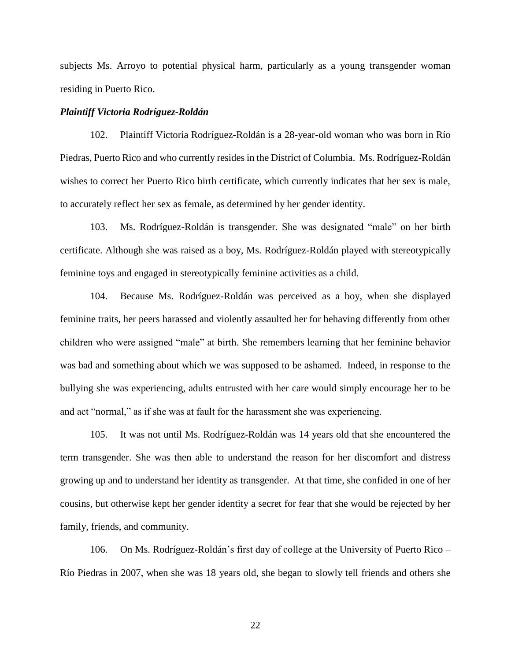subjects Ms. Arroyo to potential physical harm, particularly as a young transgender woman residing in Puerto Rico.

### *Plaintiff Victoria Rodríguez-Roldán*

102. Plaintiff Victoria Rodríguez-Roldán is a 28-year-old woman who was born in Río Piedras, Puerto Rico and who currently resides in the District of Columbia. Ms. Rodríguez-Roldán wishes to correct her Puerto Rico birth certificate, which currently indicates that her sex is male, to accurately reflect her sex as female, as determined by her gender identity.

103. Ms. Rodríguez-Roldán is transgender. She was designated "male" on her birth certificate. Although she was raised as a boy, Ms. Rodríguez-Roldán played with stereotypically feminine toys and engaged in stereotypically feminine activities as a child.

104. Because Ms. Rodríguez-Roldán was perceived as a boy, when she displayed feminine traits, her peers harassed and violently assaulted her for behaving differently from other children who were assigned "male" at birth. She remembers learning that her feminine behavior was bad and something about which we was supposed to be ashamed. Indeed, in response to the bullying she was experiencing, adults entrusted with her care would simply encourage her to be and act "normal," as if she was at fault for the harassment she was experiencing.

105. It was not until Ms. Rodríguez-Roldán was 14 years old that she encountered the term transgender. She was then able to understand the reason for her discomfort and distress growing up and to understand her identity as transgender. At that time, she confided in one of her cousins, but otherwise kept her gender identity a secret for fear that she would be rejected by her family, friends, and community.

106. On Ms. Rodríguez-Roldán's first day of college at the University of Puerto Rico – Río Piedras in 2007, when she was 18 years old, she began to slowly tell friends and others she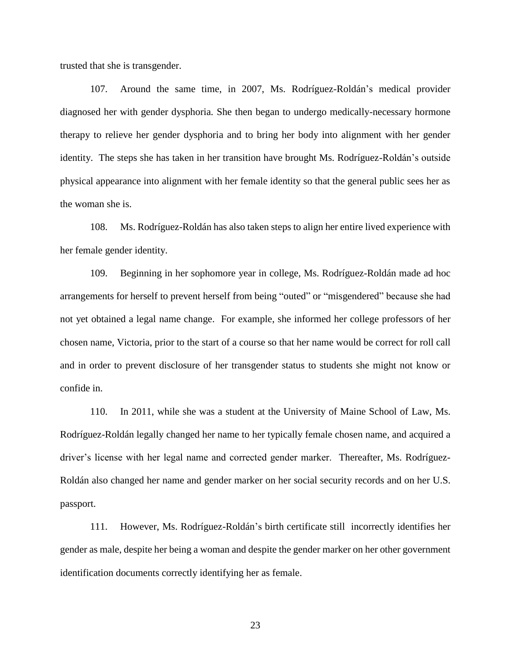trusted that she is transgender.

107. Around the same time, in 2007, Ms. Rodríguez-Roldán's medical provider diagnosed her with gender dysphoria. She then began to undergo medically-necessary hormone therapy to relieve her gender dysphoria and to bring her body into alignment with her gender identity. The steps she has taken in her transition have brought Ms. Rodríguez-Roldán's outside physical appearance into alignment with her female identity so that the general public sees her as the woman she is.

108. Ms. Rodríguez-Roldán has also taken steps to align her entire lived experience with her female gender identity.

109. Beginning in her sophomore year in college, Ms. Rodríguez-Roldán made ad hoc arrangements for herself to prevent herself from being "outed" or "misgendered" because she had not yet obtained a legal name change. For example, she informed her college professors of her chosen name, Victoria, prior to the start of a course so that her name would be correct for roll call and in order to prevent disclosure of her transgender status to students she might not know or confide in.

110. In 2011, while she was a student at the University of Maine School of Law, Ms. Rodríguez-Roldán legally changed her name to her typically female chosen name, and acquired a driver's license with her legal name and corrected gender marker. Thereafter, Ms. Rodríguez-Roldán also changed her name and gender marker on her social security records and on her U.S. passport.

111. However, Ms. Rodríguez-Roldán's birth certificate still incorrectly identifies her gender as male, despite her being a woman and despite the gender marker on her other government identification documents correctly identifying her as female.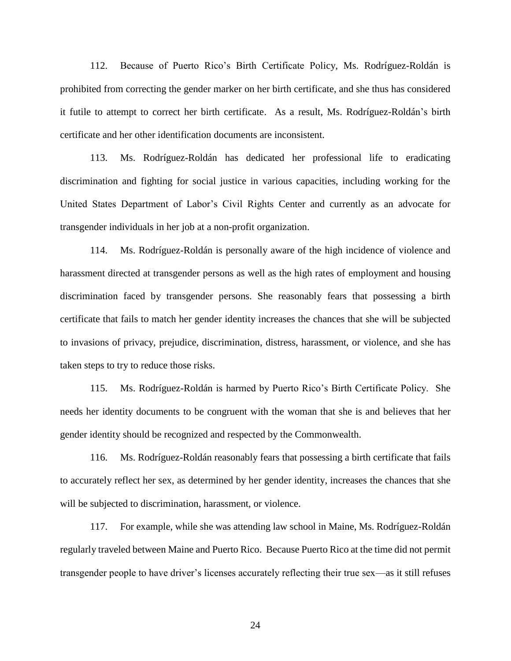112. Because of Puerto Rico's Birth Certificate Policy, Ms. Rodríguez-Roldán is prohibited from correcting the gender marker on her birth certificate, and she thus has considered it futile to attempt to correct her birth certificate. As a result, Ms. Rodríguez-Roldán's birth certificate and her other identification documents are inconsistent.

113. Ms. Rodríguez-Roldán has dedicated her professional life to eradicating discrimination and fighting for social justice in various capacities, including working for the United States Department of Labor's Civil Rights Center and currently as an advocate for transgender individuals in her job at a non-profit organization.

114. Ms. Rodríguez-Roldán is personally aware of the high incidence of violence and harassment directed at transgender persons as well as the high rates of employment and housing discrimination faced by transgender persons. She reasonably fears that possessing a birth certificate that fails to match her gender identity increases the chances that she will be subjected to invasions of privacy, prejudice, discrimination, distress, harassment, or violence, and she has taken steps to try to reduce those risks.

115. Ms. Rodríguez-Roldán is harmed by Puerto Rico's Birth Certificate Policy. She needs her identity documents to be congruent with the woman that she is and believes that her gender identity should be recognized and respected by the Commonwealth.

116. Ms. Rodríguez-Roldán reasonably fears that possessing a birth certificate that fails to accurately reflect her sex, as determined by her gender identity, increases the chances that she will be subjected to discrimination, harassment, or violence.

117. For example, while she was attending law school in Maine, Ms. Rodríguez-Roldán regularly traveled between Maine and Puerto Rico. Because Puerto Rico at the time did not permit transgender people to have driver's licenses accurately reflecting their true sex—as it still refuses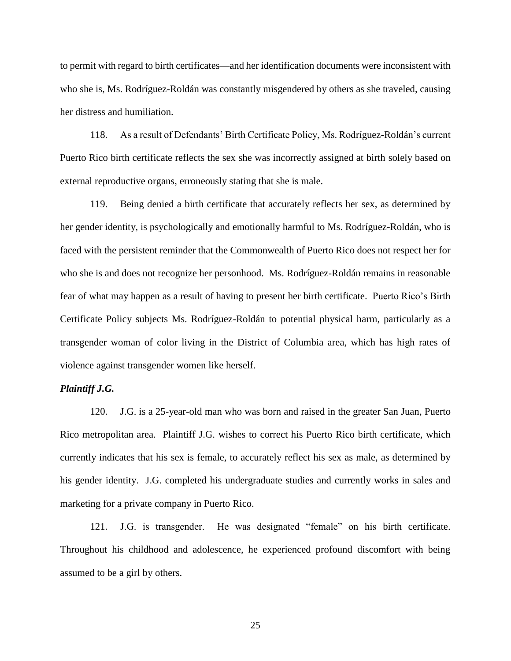to permit with regard to birth certificates—and her identification documents were inconsistent with who she is, Ms. Rodríguez-Roldán was constantly misgendered by others as she traveled, causing her distress and humiliation.

118. As a result of Defendants' Birth Certificate Policy, Ms. Rodríguez-Roldán's current Puerto Rico birth certificate reflects the sex she was incorrectly assigned at birth solely based on external reproductive organs, erroneously stating that she is male.

119. Being denied a birth certificate that accurately reflects her sex, as determined by her gender identity, is psychologically and emotionally harmful to Ms. Rodríguez-Roldán, who is faced with the persistent reminder that the Commonwealth of Puerto Rico does not respect her for who she is and does not recognize her personhood. Ms. Rodríguez-Roldán remains in reasonable fear of what may happen as a result of having to present her birth certificate. Puerto Rico's Birth Certificate Policy subjects Ms. Rodríguez-Roldán to potential physical harm, particularly as a transgender woman of color living in the District of Columbia area, which has high rates of violence against transgender women like herself.

## *Plaintiff J.G.*

120. J.G. is a 25-year-old man who was born and raised in the greater San Juan, Puerto Rico metropolitan area. Plaintiff J.G. wishes to correct his Puerto Rico birth certificate, which currently indicates that his sex is female, to accurately reflect his sex as male, as determined by his gender identity. J.G. completed his undergraduate studies and currently works in sales and marketing for a private company in Puerto Rico.

121. J.G. is transgender. He was designated "female" on his birth certificate. Throughout his childhood and adolescence, he experienced profound discomfort with being assumed to be a girl by others.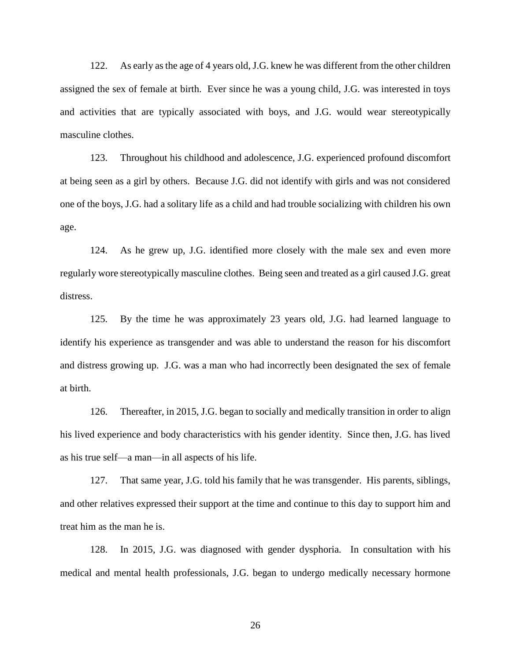122. As early as the age of 4 years old, J.G. knew he was different from the other children assigned the sex of female at birth. Ever since he was a young child, J.G. was interested in toys and activities that are typically associated with boys, and J.G. would wear stereotypically masculine clothes.

123. Throughout his childhood and adolescence, J.G. experienced profound discomfort at being seen as a girl by others. Because J.G. did not identify with girls and was not considered one of the boys, J.G. had a solitary life as a child and had trouble socializing with children his own age.

124. As he grew up, J.G. identified more closely with the male sex and even more regularly wore stereotypically masculine clothes. Being seen and treated as a girl caused J.G. great distress.

125. By the time he was approximately 23 years old, J.G. had learned language to identify his experience as transgender and was able to understand the reason for his discomfort and distress growing up. J.G. was a man who had incorrectly been designated the sex of female at birth.

126. Thereafter, in 2015, J.G. began to socially and medically transition in order to align his lived experience and body characteristics with his gender identity. Since then, J.G. has lived as his true self—a man—in all aspects of his life.

127. That same year, J.G. told his family that he was transgender. His parents, siblings, and other relatives expressed their support at the time and continue to this day to support him and treat him as the man he is.

128. In 2015, J.G. was diagnosed with gender dysphoria. In consultation with his medical and mental health professionals, J.G. began to undergo medically necessary hormone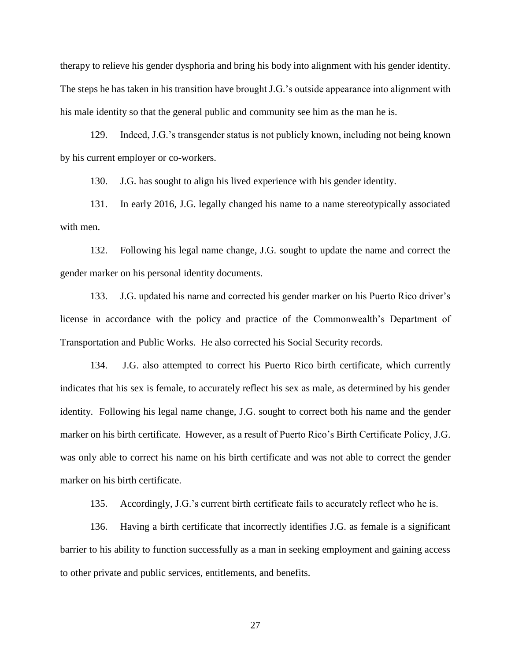therapy to relieve his gender dysphoria and bring his body into alignment with his gender identity. The steps he has taken in his transition have brought J.G.'s outside appearance into alignment with his male identity so that the general public and community see him as the man he is.

129. Indeed, J.G.'s transgender status is not publicly known, including not being known by his current employer or co-workers.

130. J.G. has sought to align his lived experience with his gender identity.

131. In early 2016, J.G. legally changed his name to a name stereotypically associated with men.

132. Following his legal name change, J.G. sought to update the name and correct the gender marker on his personal identity documents.

133. J.G. updated his name and corrected his gender marker on his Puerto Rico driver's license in accordance with the policy and practice of the Commonwealth's Department of Transportation and Public Works. He also corrected his Social Security records.

134. J.G. also attempted to correct his Puerto Rico birth certificate, which currently indicates that his sex is female, to accurately reflect his sex as male, as determined by his gender identity. Following his legal name change, J.G. sought to correct both his name and the gender marker on his birth certificate. However, as a result of Puerto Rico's Birth Certificate Policy, J.G. was only able to correct his name on his birth certificate and was not able to correct the gender marker on his birth certificate.

135. Accordingly, J.G.'s current birth certificate fails to accurately reflect who he is.

136. Having a birth certificate that incorrectly identifies J.G. as female is a significant barrier to his ability to function successfully as a man in seeking employment and gaining access to other private and public services, entitlements, and benefits.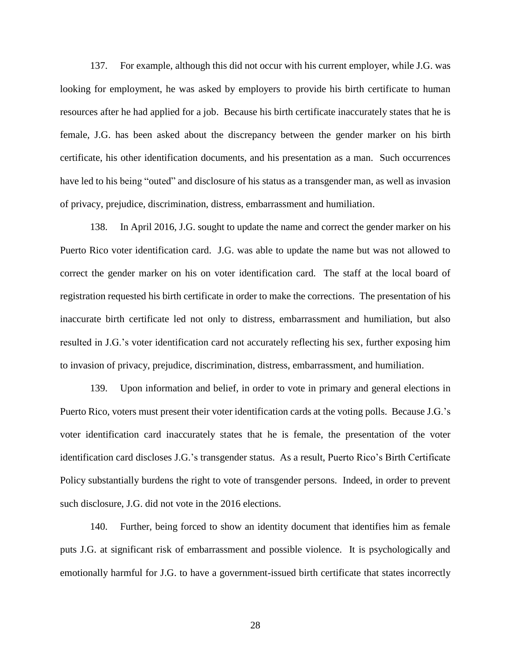137. For example, although this did not occur with his current employer, while J.G. was looking for employment, he was asked by employers to provide his birth certificate to human resources after he had applied for a job. Because his birth certificate inaccurately states that he is female, J.G. has been asked about the discrepancy between the gender marker on his birth certificate, his other identification documents, and his presentation as a man. Such occurrences have led to his being "outed" and disclosure of his status as a transgender man, as well as invasion of privacy, prejudice, discrimination, distress, embarrassment and humiliation.

138. In April 2016, J.G. sought to update the name and correct the gender marker on his Puerto Rico voter identification card. J.G. was able to update the name but was not allowed to correct the gender marker on his on voter identification card. The staff at the local board of registration requested his birth certificate in order to make the corrections. The presentation of his inaccurate birth certificate led not only to distress, embarrassment and humiliation, but also resulted in J.G.'s voter identification card not accurately reflecting his sex, further exposing him to invasion of privacy, prejudice, discrimination, distress, embarrassment, and humiliation.

139. Upon information and belief, in order to vote in primary and general elections in Puerto Rico, voters must present their voter identification cards at the voting polls. Because J.G.'s voter identification card inaccurately states that he is female, the presentation of the voter identification card discloses J.G.'s transgender status. As a result, Puerto Rico's Birth Certificate Policy substantially burdens the right to vote of transgender persons. Indeed, in order to prevent such disclosure, J.G. did not vote in the 2016 elections.

140. Further, being forced to show an identity document that identifies him as female puts J.G. at significant risk of embarrassment and possible violence. It is psychologically and emotionally harmful for J.G. to have a government-issued birth certificate that states incorrectly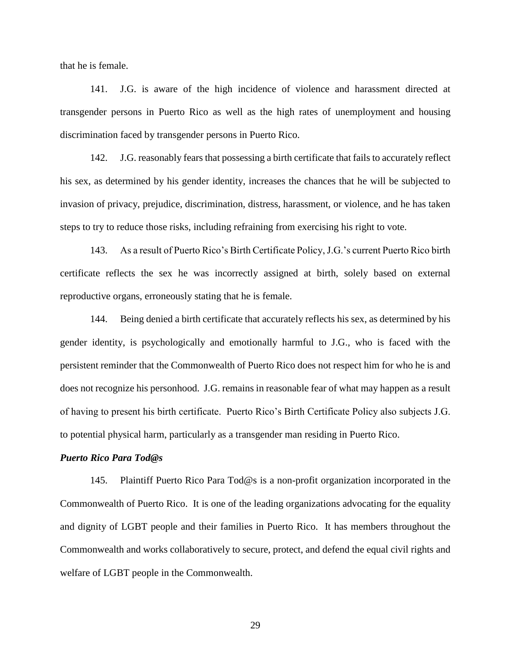that he is female.

141. J.G. is aware of the high incidence of violence and harassment directed at transgender persons in Puerto Rico as well as the high rates of unemployment and housing discrimination faced by transgender persons in Puerto Rico.

142. J.G. reasonably fears that possessing a birth certificate that fails to accurately reflect his sex, as determined by his gender identity, increases the chances that he will be subjected to invasion of privacy, prejudice, discrimination, distress, harassment, or violence, and he has taken steps to try to reduce those risks, including refraining from exercising his right to vote.

143. As a result of Puerto Rico's Birth Certificate Policy, J.G.'s current Puerto Rico birth certificate reflects the sex he was incorrectly assigned at birth, solely based on external reproductive organs, erroneously stating that he is female.

144. Being denied a birth certificate that accurately reflects his sex, as determined by his gender identity, is psychologically and emotionally harmful to J.G., who is faced with the persistent reminder that the Commonwealth of Puerto Rico does not respect him for who he is and does not recognize his personhood. J.G. remains in reasonable fear of what may happen as a result of having to present his birth certificate. Puerto Rico's Birth Certificate Policy also subjects J.G. to potential physical harm, particularly as a transgender man residing in Puerto Rico.

## *Puerto Rico Para Tod@s*

145. Plaintiff Puerto Rico Para Tod@s is a non-profit organization incorporated in the Commonwealth of Puerto Rico. It is one of the leading organizations advocating for the equality and dignity of LGBT people and their families in Puerto Rico. It has members throughout the Commonwealth and works collaboratively to secure, protect, and defend the equal civil rights and welfare of LGBT people in the Commonwealth.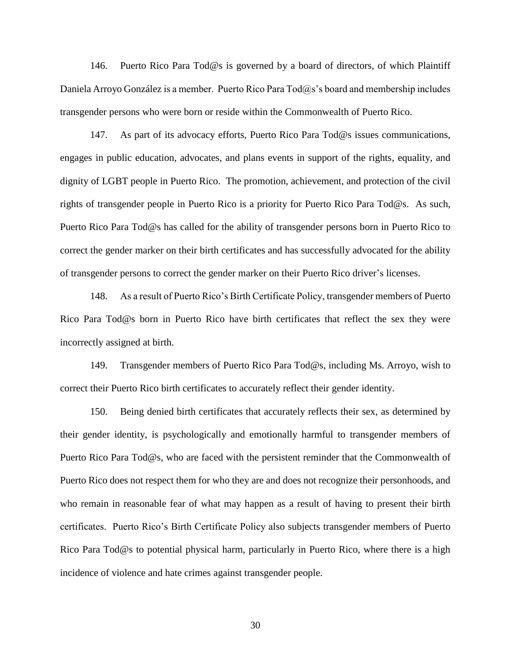146. Puerto Rico Para Tod@s is governed by a board of directors, of which Plaintiff Daniela Arroyo González is a member. Puerto Rico Para Tod@s's board and membership includes transgender persons who were born or reside within the Commonwealth of Puerto Rico.

147. As part of its advocacy efforts, Puerto Rico Para Tod@s issues communications, engages in public education, advocates, and plans events in support of the rights, equality, and dignity of LGBT people in Puerto Rico. The promotion, achievement, and protection of the civil rights of transgender people in Puerto Rico is a priority for Puerto Rico Para Tod@s. As such, Puerto Rico Para Tod@s has called for the ability of transgender persons born in Puerto Rico to correct the gender marker on their birth certificates and has successfully advocated for the ability of transgender persons to correct the gender marker on their Puerto Rico driver's licenses.

148. As a result of Puerto Rico's Birth Certificate Policy, transgender members of Puerto Rico Para Tod@s born in Puerto Rico have birth certificates that reflect the sex they were incorrectly assigned at birth.

149. Transgender members of Puerto Rico Para Tod@s, including Ms. Arroyo, wish to correct their Puerto Rico birth certificates to accurately reflect their gender identity.

150. Being denied birth certificates that accurately reflects their sex, as determined by their gender identity, is psychologically and emotionally harmful to transgender members of Puerto Rico Para Tod@s, who are faced with the persistent reminder that the Commonwealth of Puerto Rico does not respect them for who they are and does not recognize their personhoods, and who remain in reasonable fear of what may happen as a result of having to present their birth certificates. Puerto Rico's Birth Certificate Policy also subjects transgender members of Puerto Rico Para Tod@s to potential physical harm, particularly in Puerto Rico, where there is a high incidence of violence and hate crimes against transgender people.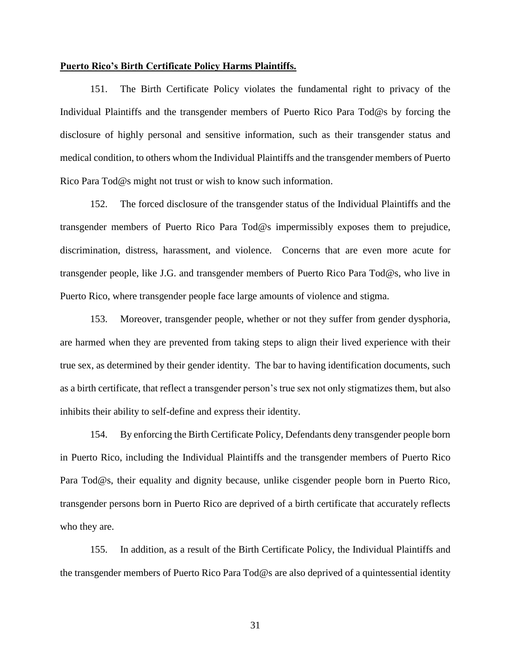### **Puerto Rico's Birth Certificate Policy Harms Plaintiffs.**

151. The Birth Certificate Policy violates the fundamental right to privacy of the Individual Plaintiffs and the transgender members of Puerto Rico Para Tod@s by forcing the disclosure of highly personal and sensitive information, such as their transgender status and medical condition, to others whom the Individual Plaintiffs and the transgender members of Puerto Rico Para Tod@s might not trust or wish to know such information.

152. The forced disclosure of the transgender status of the Individual Plaintiffs and the transgender members of Puerto Rico Para Tod@s impermissibly exposes them to prejudice, discrimination, distress, harassment, and violence. Concerns that are even more acute for transgender people, like J.G. and transgender members of Puerto Rico Para Tod@s, who live in Puerto Rico, where transgender people face large amounts of violence and stigma.

153. Moreover, transgender people, whether or not they suffer from gender dysphoria, are harmed when they are prevented from taking steps to align their lived experience with their true sex, as determined by their gender identity. The bar to having identification documents, such as a birth certificate, that reflect a transgender person's true sex not only stigmatizes them, but also inhibits their ability to self-define and express their identity.

154. By enforcing the Birth Certificate Policy, Defendants deny transgender people born in Puerto Rico, including the Individual Plaintiffs and the transgender members of Puerto Rico Para Tod@s, their equality and dignity because, unlike cisgender people born in Puerto Rico, transgender persons born in Puerto Rico are deprived of a birth certificate that accurately reflects who they are.

155. In addition, as a result of the Birth Certificate Policy, the Individual Plaintiffs and the transgender members of Puerto Rico Para Tod@s are also deprived of a quintessential identity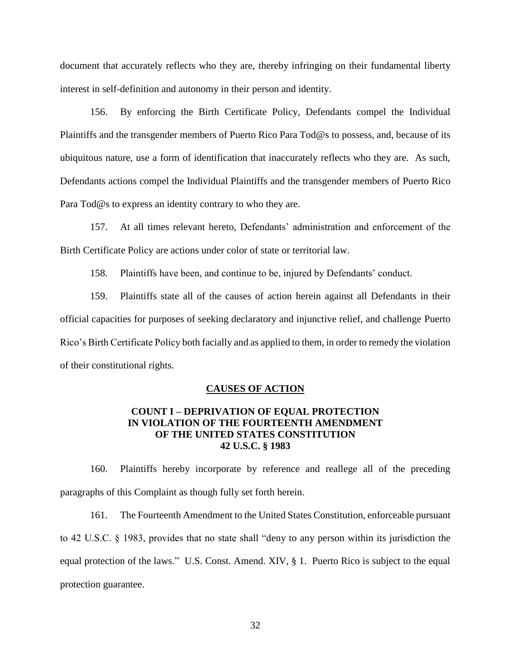document that accurately reflects who they are, thereby infringing on their fundamental liberty interest in self-definition and autonomy in their person and identity.

156. By enforcing the Birth Certificate Policy, Defendants compel the Individual Plaintiffs and the transgender members of Puerto Rico Para Tod@s to possess, and, because of its ubiquitous nature, use a form of identification that inaccurately reflects who they are. As such, Defendants actions compel the Individual Plaintiffs and the transgender members of Puerto Rico Para Tod@s to express an identity contrary to who they are.

157. At all times relevant hereto, Defendants' administration and enforcement of the Birth Certificate Policy are actions under color of state or territorial law.

158. Plaintiffs have been, and continue to be, injured by Defendants' conduct.

159. Plaintiffs state all of the causes of action herein against all Defendants in their official capacities for purposes of seeking declaratory and injunctive relief, and challenge Puerto Rico's Birth Certificate Policy both facially and as applied to them, in order to remedy the violation of their constitutional rights.

## **CAUSES OF ACTION**

## **COUNT I – DEPRIVATION OF EQUAL PROTECTION IN VIOLATION OF THE FOURTEENTH AMENDMENT OF THE UNITED STATES CONSTITUTION 42 U.S.C. § 1983**

160. Plaintiffs hereby incorporate by reference and reallege all of the preceding paragraphs of this Complaint as though fully set forth herein.

161. The Fourteenth Amendment to the United States Constitution, enforceable pursuant to 42 U.S.C. § 1983, provides that no state shall "deny to any person within its jurisdiction the equal protection of the laws." U.S. Const. Amend. XIV, § 1. Puerto Rico is subject to the equal protection guarantee.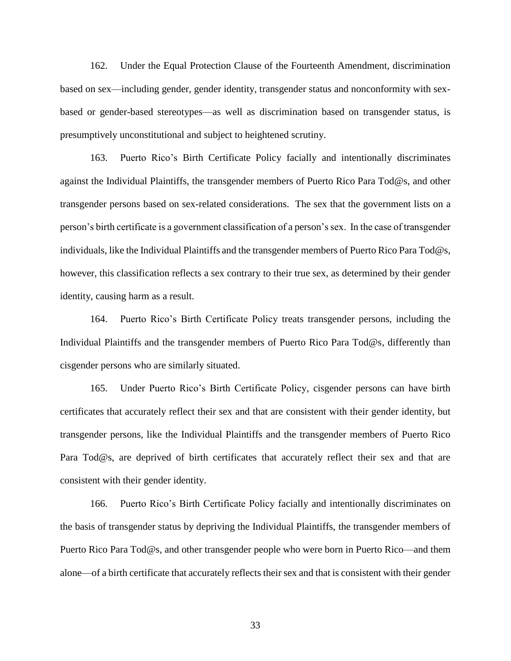162. Under the Equal Protection Clause of the Fourteenth Amendment, discrimination based on sex—including gender, gender identity, transgender status and nonconformity with sexbased or gender-based stereotypes—as well as discrimination based on transgender status, is presumptively unconstitutional and subject to heightened scrutiny.

163. Puerto Rico's Birth Certificate Policy facially and intentionally discriminates against the Individual Plaintiffs, the transgender members of Puerto Rico Para Tod@s, and other transgender persons based on sex-related considerations. The sex that the government lists on a person's birth certificate is a government classification of a person's sex. In the case of transgender individuals, like the Individual Plaintiffs and the transgender members of Puerto Rico Para Tod@s, however, this classification reflects a sex contrary to their true sex, as determined by their gender identity, causing harm as a result.

164. Puerto Rico's Birth Certificate Policy treats transgender persons, including the Individual Plaintiffs and the transgender members of Puerto Rico Para Tod@s, differently than cisgender persons who are similarly situated.

165. Under Puerto Rico's Birth Certificate Policy, cisgender persons can have birth certificates that accurately reflect their sex and that are consistent with their gender identity, but transgender persons, like the Individual Plaintiffs and the transgender members of Puerto Rico Para Tod@s, are deprived of birth certificates that accurately reflect their sex and that are consistent with their gender identity.

166. Puerto Rico's Birth Certificate Policy facially and intentionally discriminates on the basis of transgender status by depriving the Individual Plaintiffs, the transgender members of Puerto Rico Para Tod@s, and other transgender people who were born in Puerto Rico—and them alone—of a birth certificate that accurately reflects their sex and that is consistent with their gender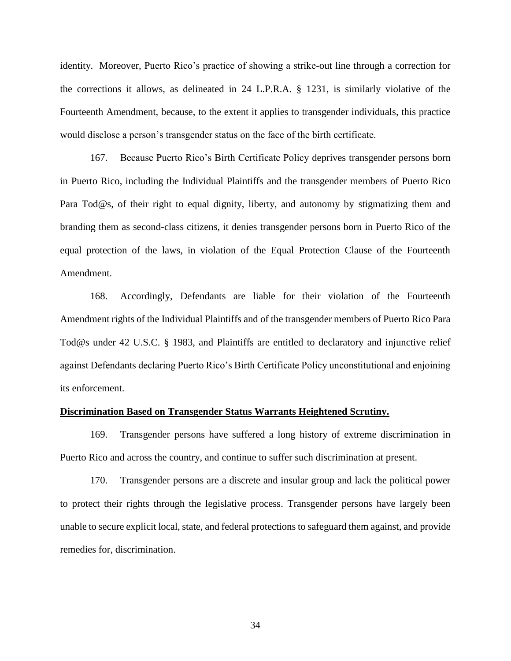identity. Moreover, Puerto Rico's practice of showing a strike-out line through a correction for the corrections it allows, as delineated in 24 L.P.R.A. § 1231, is similarly violative of the Fourteenth Amendment, because, to the extent it applies to transgender individuals, this practice would disclose a person's transgender status on the face of the birth certificate.

167. Because Puerto Rico's Birth Certificate Policy deprives transgender persons born in Puerto Rico, including the Individual Plaintiffs and the transgender members of Puerto Rico Para Tod@s, of their right to equal dignity, liberty, and autonomy by stigmatizing them and branding them as second-class citizens, it denies transgender persons born in Puerto Rico of the equal protection of the laws, in violation of the Equal Protection Clause of the Fourteenth Amendment.

168. Accordingly, Defendants are liable for their violation of the Fourteenth Amendment rights of the Individual Plaintiffs and of the transgender members of Puerto Rico Para Tod@s under 42 U.S.C. § 1983, and Plaintiffs are entitled to declaratory and injunctive relief against Defendants declaring Puerto Rico's Birth Certificate Policy unconstitutional and enjoining its enforcement.

#### **Discrimination Based on Transgender Status Warrants Heightened Scrutiny.**

169. Transgender persons have suffered a long history of extreme discrimination in Puerto Rico and across the country, and continue to suffer such discrimination at present.

170. Transgender persons are a discrete and insular group and lack the political power to protect their rights through the legislative process. Transgender persons have largely been unable to secure explicit local, state, and federal protections to safeguard them against, and provide remedies for, discrimination.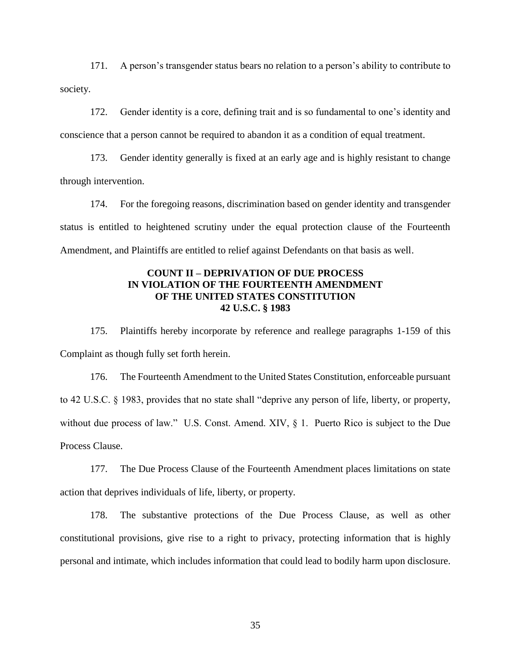171. A person's transgender status bears no relation to a person's ability to contribute to society.

172. Gender identity is a core, defining trait and is so fundamental to one's identity and conscience that a person cannot be required to abandon it as a condition of equal treatment.

173. Gender identity generally is fixed at an early age and is highly resistant to change through intervention.

174. For the foregoing reasons, discrimination based on gender identity and transgender status is entitled to heightened scrutiny under the equal protection clause of the Fourteenth Amendment, and Plaintiffs are entitled to relief against Defendants on that basis as well.

## **COUNT II – DEPRIVATION OF DUE PROCESS IN VIOLATION OF THE FOURTEENTH AMENDMENT OF THE UNITED STATES CONSTITUTION 42 U.S.C. § 1983**

175. Plaintiffs hereby incorporate by reference and reallege paragraphs 1-159 of this Complaint as though fully set forth herein.

176. The Fourteenth Amendment to the United States Constitution, enforceable pursuant to 42 U.S.C. § 1983, provides that no state shall "deprive any person of life, liberty, or property, without due process of law." U.S. Const. Amend. XIV, § 1. Puerto Rico is subject to the Due Process Clause.

177. The Due Process Clause of the Fourteenth Amendment places limitations on state action that deprives individuals of life, liberty, or property.

178. The substantive protections of the Due Process Clause, as well as other constitutional provisions, give rise to a right to privacy, protecting information that is highly personal and intimate, which includes information that could lead to bodily harm upon disclosure.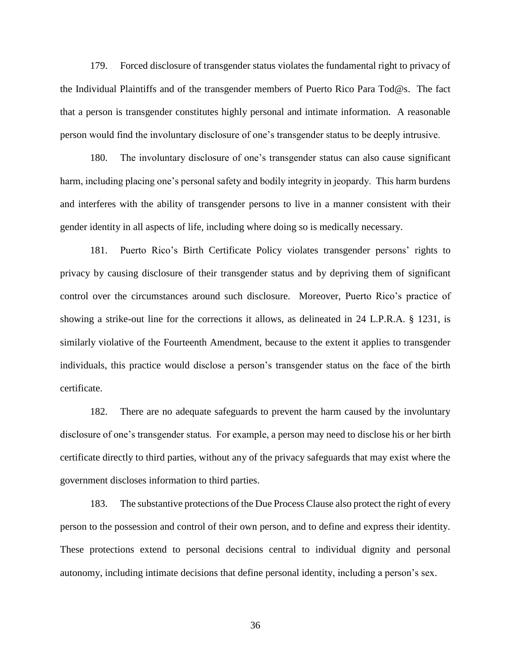179. Forced disclosure of transgender status violates the fundamental right to privacy of the Individual Plaintiffs and of the transgender members of Puerto Rico Para Tod@s. The fact that a person is transgender constitutes highly personal and intimate information. A reasonable person would find the involuntary disclosure of one's transgender status to be deeply intrusive.

180. The involuntary disclosure of one's transgender status can also cause significant harm, including placing one's personal safety and bodily integrity in jeopardy. This harm burdens and interferes with the ability of transgender persons to live in a manner consistent with their gender identity in all aspects of life, including where doing so is medically necessary.

181. Puerto Rico's Birth Certificate Policy violates transgender persons' rights to privacy by causing disclosure of their transgender status and by depriving them of significant control over the circumstances around such disclosure. Moreover, Puerto Rico's practice of showing a strike-out line for the corrections it allows, as delineated in 24 L.P.R.A. § 1231, is similarly violative of the Fourteenth Amendment, because to the extent it applies to transgender individuals, this practice would disclose a person's transgender status on the face of the birth certificate.

182. There are no adequate safeguards to prevent the harm caused by the involuntary disclosure of one's transgender status. For example, a person may need to disclose his or her birth certificate directly to third parties, without any of the privacy safeguards that may exist where the government discloses information to third parties.

183. The substantive protections of the Due Process Clause also protect the right of every person to the possession and control of their own person, and to define and express their identity. These protections extend to personal decisions central to individual dignity and personal autonomy, including intimate decisions that define personal identity, including a person's sex.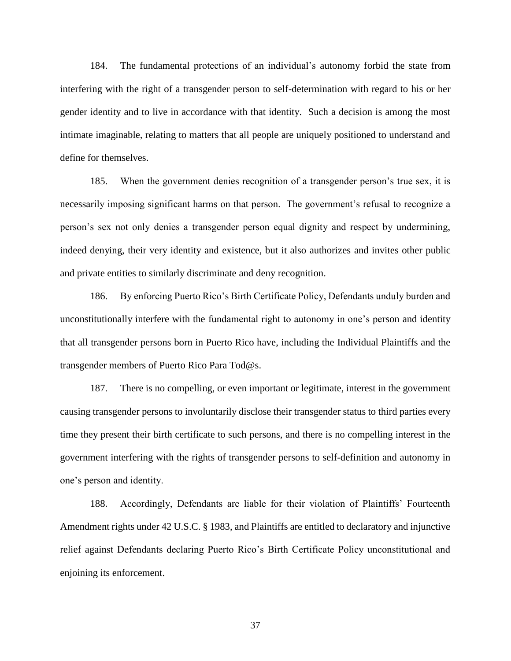184. The fundamental protections of an individual's autonomy forbid the state from interfering with the right of a transgender person to self-determination with regard to his or her gender identity and to live in accordance with that identity. Such a decision is among the most intimate imaginable, relating to matters that all people are uniquely positioned to understand and define for themselves.

185. When the government denies recognition of a transgender person's true sex, it is necessarily imposing significant harms on that person. The government's refusal to recognize a person's sex not only denies a transgender person equal dignity and respect by undermining, indeed denying, their very identity and existence, but it also authorizes and invites other public and private entities to similarly discriminate and deny recognition.

186. By enforcing Puerto Rico's Birth Certificate Policy, Defendants unduly burden and unconstitutionally interfere with the fundamental right to autonomy in one's person and identity that all transgender persons born in Puerto Rico have, including the Individual Plaintiffs and the transgender members of Puerto Rico Para Tod@s.

187. There is no compelling, or even important or legitimate, interest in the government causing transgender persons to involuntarily disclose their transgender status to third parties every time they present their birth certificate to such persons, and there is no compelling interest in the government interfering with the rights of transgender persons to self-definition and autonomy in one's person and identity.

188. Accordingly, Defendants are liable for their violation of Plaintiffs' Fourteenth Amendment rights under 42 U.S.C. § 1983, and Plaintiffs are entitled to declaratory and injunctive relief against Defendants declaring Puerto Rico's Birth Certificate Policy unconstitutional and enjoining its enforcement.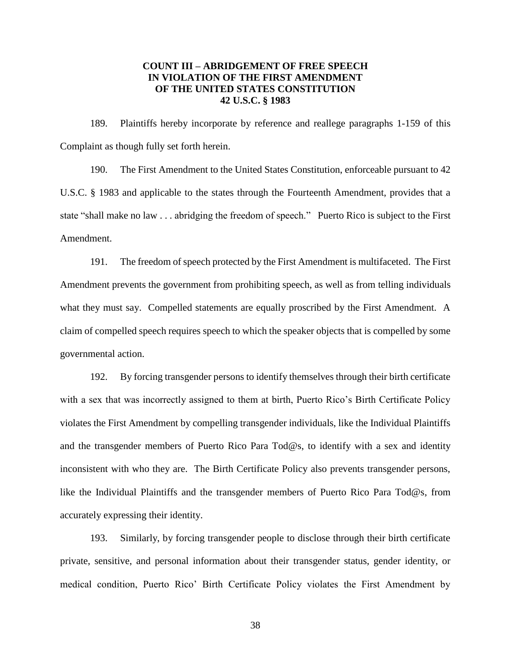## **COUNT III – ABRIDGEMENT OF FREE SPEECH IN VIOLATION OF THE FIRST AMENDMENT OF THE UNITED STATES CONSTITUTION 42 U.S.C. § 1983**

189. Plaintiffs hereby incorporate by reference and reallege paragraphs 1-159 of this Complaint as though fully set forth herein.

190. The First Amendment to the United States Constitution, enforceable pursuant to 42 U.S.C. § 1983 and applicable to the states through the Fourteenth Amendment, provides that a state "shall make no law . . . abridging the freedom of speech." Puerto Rico is subject to the First Amendment.

191. The freedom of speech protected by the First Amendment is multifaceted. The First Amendment prevents the government from prohibiting speech, as well as from telling individuals what they must say. Compelled statements are equally proscribed by the First Amendment. A claim of compelled speech requires speech to which the speaker objects that is compelled by some governmental action.

192. By forcing transgender persons to identify themselves through their birth certificate with a sex that was incorrectly assigned to them at birth, Puerto Rico's Birth Certificate Policy violates the First Amendment by compelling transgender individuals, like the Individual Plaintiffs and the transgender members of Puerto Rico Para Tod@s, to identify with a sex and identity inconsistent with who they are. The Birth Certificate Policy also prevents transgender persons, like the Individual Plaintiffs and the transgender members of Puerto Rico Para Tod@s, from accurately expressing their identity.

193. Similarly, by forcing transgender people to disclose through their birth certificate private, sensitive, and personal information about their transgender status, gender identity, or medical condition, Puerto Rico' Birth Certificate Policy violates the First Amendment by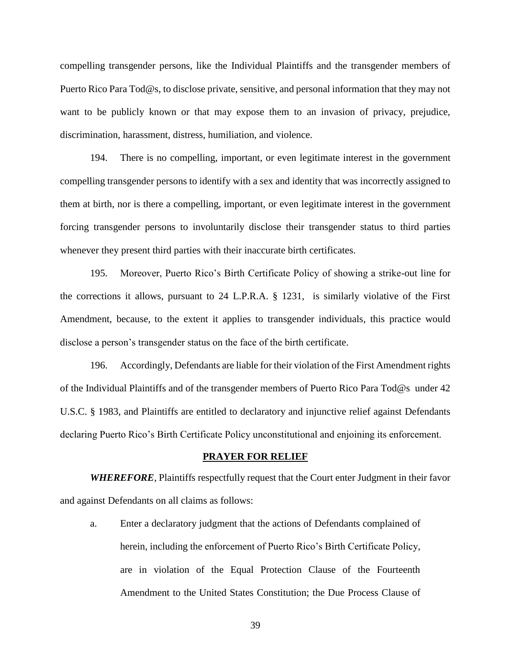compelling transgender persons, like the Individual Plaintiffs and the transgender members of Puerto Rico Para Tod@s, to disclose private, sensitive, and personal information that they may not want to be publicly known or that may expose them to an invasion of privacy, prejudice, discrimination, harassment, distress, humiliation, and violence.

194. There is no compelling, important, or even legitimate interest in the government compelling transgender persons to identify with a sex and identity that was incorrectly assigned to them at birth, nor is there a compelling, important, or even legitimate interest in the government forcing transgender persons to involuntarily disclose their transgender status to third parties whenever they present third parties with their inaccurate birth certificates.

195. Moreover, Puerto Rico's Birth Certificate Policy of showing a strike-out line for the corrections it allows, pursuant to 24 L.P.R.A. § 1231, is similarly violative of the First Amendment, because, to the extent it applies to transgender individuals, this practice would disclose a person's transgender status on the face of the birth certificate.

196. Accordingly, Defendants are liable for their violation of the First Amendment rights of the Individual Plaintiffs and of the transgender members of Puerto Rico Para Tod@s under 42 U.S.C. § 1983, and Plaintiffs are entitled to declaratory and injunctive relief against Defendants declaring Puerto Rico's Birth Certificate Policy unconstitutional and enjoining its enforcement.

## **PRAYER FOR RELIEF**

*WHEREFORE*, Plaintiffs respectfully request that the Court enter Judgment in their favor and against Defendants on all claims as follows:

a. Enter a declaratory judgment that the actions of Defendants complained of herein, including the enforcement of Puerto Rico's Birth Certificate Policy, are in violation of the Equal Protection Clause of the Fourteenth Amendment to the United States Constitution; the Due Process Clause of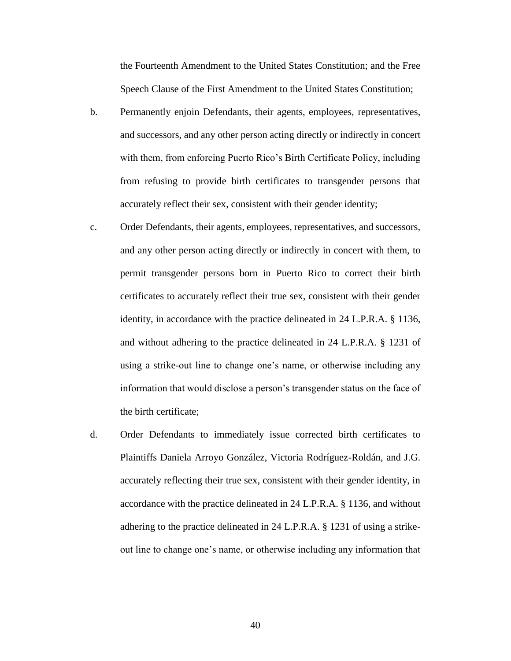the Fourteenth Amendment to the United States Constitution; and the Free Speech Clause of the First Amendment to the United States Constitution;

- b. Permanently enjoin Defendants, their agents, employees, representatives, and successors, and any other person acting directly or indirectly in concert with them, from enforcing Puerto Rico's Birth Certificate Policy, including from refusing to provide birth certificates to transgender persons that accurately reflect their sex, consistent with their gender identity;
- c. Order Defendants, their agents, employees, representatives, and successors, and any other person acting directly or indirectly in concert with them, to permit transgender persons born in Puerto Rico to correct their birth certificates to accurately reflect their true sex, consistent with their gender identity, in accordance with the practice delineated in 24 L.P.R.A. § 1136, and without adhering to the practice delineated in 24 L.P.R.A. § 1231 of using a strike-out line to change one's name, or otherwise including any information that would disclose a person's transgender status on the face of the birth certificate;
- d. Order Defendants to immediately issue corrected birth certificates to Plaintiffs Daniela Arroyo González, Victoria Rodríguez-Roldán, and J.G. accurately reflecting their true sex, consistent with their gender identity, in accordance with the practice delineated in 24 L.P.R.A. § 1136, and without adhering to the practice delineated in 24 L.P.R.A. § 1231 of using a strikeout line to change one's name, or otherwise including any information that